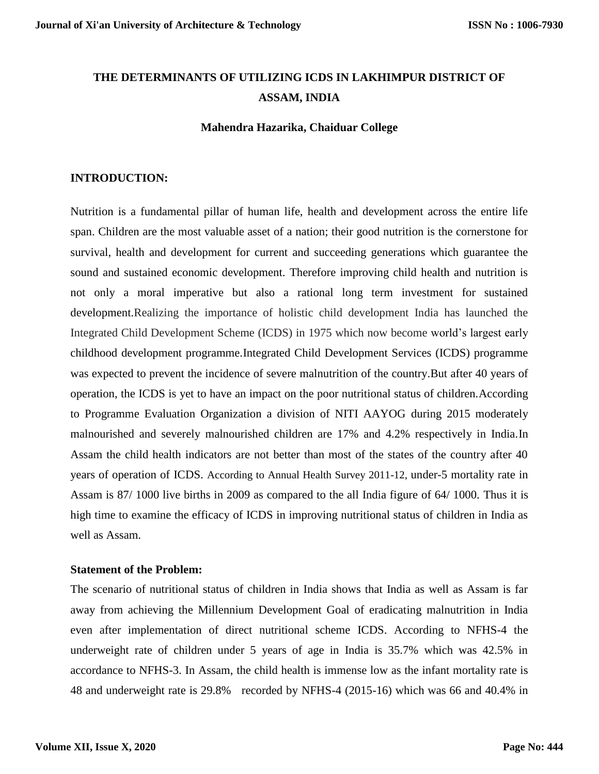# **THE DETERMINANTS OF UTILIZING ICDS IN LAKHIMPUR DISTRICT OF ASSAM, INDIA**

## **Mahendra Hazarika, Chaiduar College**

## **INTRODUCTION:**

Nutrition is a fundamental pillar of human life, health and development across the entire life span. Children are the most valuable asset of a nation; their good nutrition is the cornerstone for survival, health and development for current and succeeding generations which guarantee the sound and sustained economic development. Therefore improving child health and nutrition is not only a moral imperative but also a rational long term investment for sustained development.Realizing the importance of holistic child development India has launched the Integrated Child Development Scheme (ICDS) in 1975 which now become world's largest early childhood development programme.Integrated Child Development Services (ICDS) programme was expected to prevent the incidence of severe malnutrition of the country.But after 40 years of operation, the ICDS is yet to have an impact on the poor nutritional status of children.According to Programme Evaluation Organization a division of NITI AAYOG during 2015 moderately malnourished and severely malnourished children are 17% and 4.2% respectively in India.In Assam the child health indicators are not better than most of the states of the country after 40 years of operation of ICDS. According to Annual Health Survey 2011-12, under-5 mortality rate in Assam is 87/ 1000 live births in 2009 as compared to the all India figure of 64/ 1000. Thus it is high time to examine the efficacy of ICDS in improving nutritional status of children in India as well as Assam.

## **Statement of the Problem:**

The scenario of nutritional status of children in India shows that India as well as Assam is far away from achieving the Millennium Development Goal of eradicating malnutrition in India even after implementation of direct nutritional scheme ICDS. According to NFHS-4 the underweight rate of children under 5 years of age in India is 35.7% which was 42.5% in accordance to NFHS-3. In Assam, the child health is immense low as the infant mortality rate is 48 and underweight rate is 29.8% recorded by NFHS-4 (2015-16) which was 66 and 40.4% in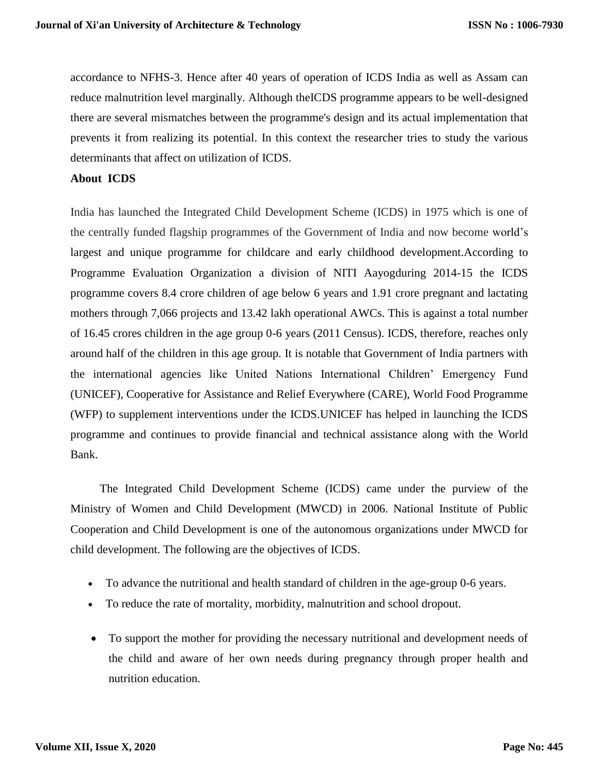accordance to NFHS-3. Hence after 40 years of operation of ICDS India as well as Assam can reduce malnutrition level marginally. Although theICDS programme appears to be well-designed there are several mismatches between the programme's design and its actual implementation that prevents it from realizing its potential. In this context the researcher tries to study the various determinants that affect on utilization of ICDS.

#### **About ICDS**

India has launched the Integrated Child Development Scheme (ICDS) in 1975 which is one of the centrally funded flagship programmes of the Government of India and now become world's largest and unique programme for childcare and early childhood development.According to Programme Evaluation Organization a division of NITI Aayogduring 2014-15 the ICDS programme covers 8.4 crore children of age below 6 years and 1.91 crore pregnant and lactating mothers through 7,066 projects and 13.42 lakh operational AWCs. This is against a total number of 16.45 crores children in the age group 0-6 years (2011 Census). ICDS, therefore, reaches only around half of the children in this age group. It is notable that Government of India partners with the international agencies like United Nations International Children' Emergency Fund (UNICEF), Cooperative for Assistance and Relief Everywhere (CARE), World Food Programme (WFP) to supplement interventions under the ICDS.UNICEF has helped in launching the ICDS programme and continues to provide financial and technical assistance along with the World Bank.

 The [Integrated Child Development Scheme \(ICDS\)](http://wcd.nic.in/icds.htm) came under the purview of the Ministry of Women and Child Development (MWCD) in 2006. National Institute of Public Cooperation and Child Development is one of the autonomous organizations under MWCD for child development. The following are the objectives of ICDS.

- To advance the nutritional and health standard of children in the age-group 0-6 years.
- To reduce the rate of mortality, morbidity, malnutrition and school dropout.
- To support the mother for providing the necessary nutritional and development needs of the child and aware of her own needs during pregnancy through proper health and nutrition education.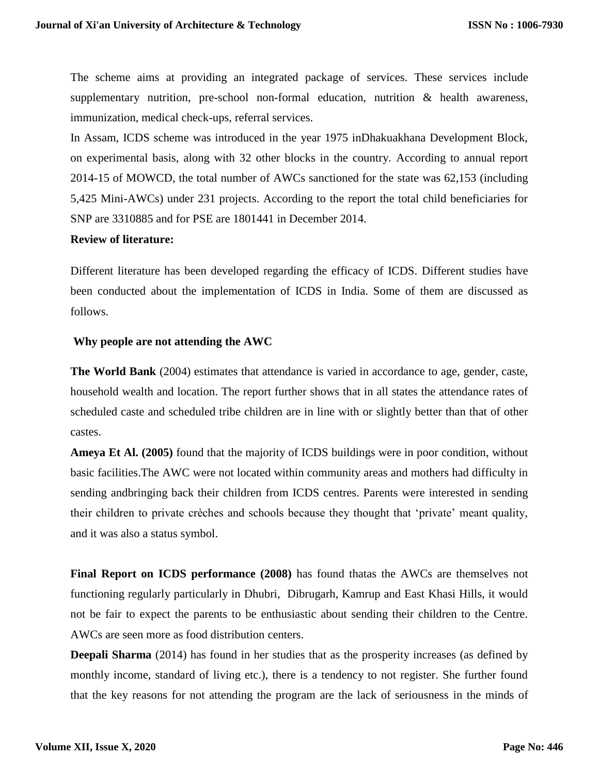The scheme aims at providing an integrated package of services. These services include supplementary nutrition, pre-school non-formal education, nutrition  $\&$  health awareness, immunization, medical check-ups, referral services.

In Assam, ICDS scheme was introduced in the year 1975 inDhakuakhana Development Block, on experimental basis, along with 32 other blocks in the country. According to annual report 2014-15 of MOWCD, the total number of AWCs sanctioned for the state was 62,153 (including 5,425 Mini-AWCs) under 231 projects. According to the report the total child beneficiaries for SNP are 3310885 and for PSE are 1801441 in December 2014.

## **Review of literature:**

Different literature has been developed regarding the efficacy of ICDS. Different studies have been conducted about the implementation of ICDS in India. Some of them are discussed as follows.

## **Why people are not attending the AWC**

**The World Bank** (2004) estimates that attendance is varied in accordance to age, gender, caste, household wealth and location. The report further shows that in all states the attendance rates of scheduled caste and scheduled tribe children are in line with or slightly better than that of other castes.

**Ameya Et Al. (2005)** found that the majority of ICDS buildings were in poor condition, without basic facilities.The AWC were not located within community areas and mothers had difficulty in sending andbringing back their children from ICDS centres. Parents were interested in sending their children to private crèches and schools because they thought that 'private' meant quality, and it was also a status symbol.

**Final Report on ICDS performance (2008)** has found thatas the AWCs are themselves not functioning regularly particularly in Dhubri, Dibrugarh, Kamrup and East Khasi Hills, it would not be fair to expect the parents to be enthusiastic about sending their children to the Centre. AWCs are seen more as food distribution centers.

**Deepali Sharma** (2014) has found in her studies that as the prosperity increases (as defined by monthly income, standard of living etc.), there is a tendency to not register. She further found that the key reasons for not attending the program are the lack of seriousness in the minds of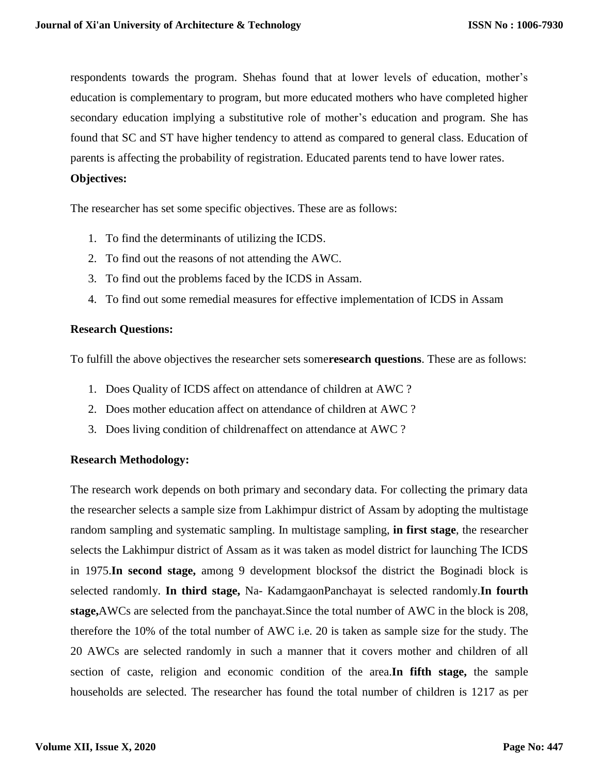respondents towards the program. Shehas found that at lower levels of education, mother's education is complementary to program, but more educated mothers who have completed higher secondary education implying a substitutive role of mother's education and program. She has found that SC and ST have higher tendency to attend as compared to general class. Education of parents is affecting the probability of registration. Educated parents tend to have lower rates.

#### **Objectives:**

The researcher has set some specific objectives. These are as follows:

- 1. To find the determinants of utilizing the ICDS.
- 2. To find out the reasons of not attending the AWC.
- 3. To find out the problems faced by the ICDS in Assam.
- 4. To find out some remedial measures for effective implementation of ICDS in Assam

## **Research Questions:**

To fulfill the above objectives the researcher sets some**research questions**. These are as follows:

- 1. Does Quality of ICDS affect on attendance of children at AWC ?
- 2. Does mother education affect on attendance of children at AWC ?
- 3. Does living condition of childrenaffect on attendance at AWC ?

## **Research Methodology:**

The research work depends on both primary and secondary data. For collecting the primary data the researcher selects a sample size from Lakhimpur district of Assam by adopting the multistage random sampling and systematic sampling. In multistage sampling, **in first stage**, the researcher selects the Lakhimpur district of Assam as it was taken as model district for launching The ICDS in 1975.**In second stage,** among 9 development blocksof the district the Boginadi block is selected randomly. **In third stage,** Na- KadamgaonPanchayat is selected randomly.**In fourth stage,**AWCs are selected from the panchayat.Since the total number of AWC in the block is 208, therefore the 10% of the total number of AWC i.e. 20 is taken as sample size for the study. The 20 AWCs are selected randomly in such a manner that it covers mother and children of all section of caste, religion and economic condition of the area.**In fifth stage,** the sample households are selected. The researcher has found the total number of children is 1217 as per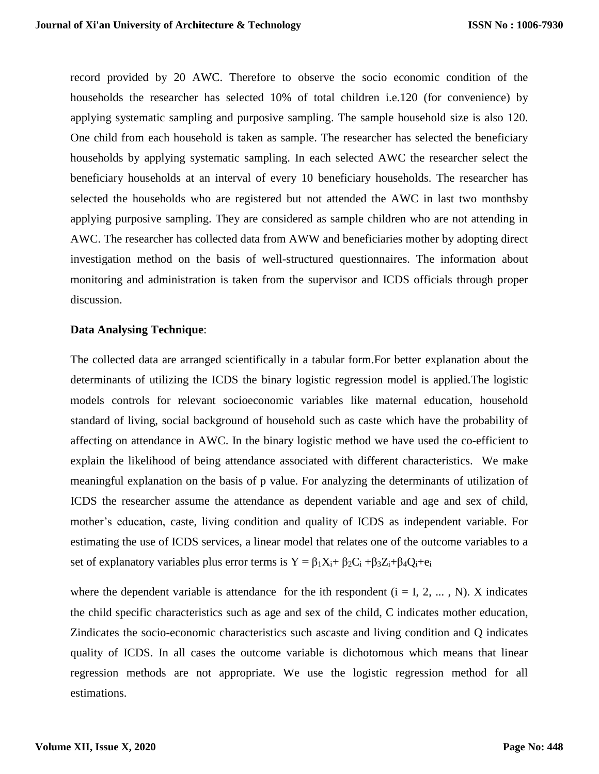record provided by 20 AWC. Therefore to observe the socio economic condition of the households the researcher has selected 10% of total children i.e.120 (for convenience) by applying systematic sampling and purposive sampling. The sample household size is also 120. One child from each household is taken as sample. The researcher has selected the beneficiary households by applying systematic sampling. In each selected AWC the researcher select the beneficiary households at an interval of every 10 beneficiary households. The researcher has selected the households who are registered but not attended the AWC in last two monthsby applying purposive sampling. They are considered as sample children who are not attending in AWC. The researcher has collected data from AWW and beneficiaries mother by adopting direct investigation method on the basis of well-structured questionnaires. The information about monitoring and administration is taken from the supervisor and ICDS officials through proper discussion.

#### **Data Analysing Technique**:

The collected data are arranged scientifically in a tabular form.For better explanation about the determinants of utilizing the ICDS the binary logistic regression model is applied.The logistic models controls for relevant socioeconomic variables like maternal education, household standard of living, social background of household such as caste which have the probability of affecting on attendance in AWC. In the binary logistic method we have used the co-efficient to explain the likelihood of being attendance associated with different characteristics. We make meaningful explanation on the basis of p value. For analyzing the determinants of utilization of ICDS the researcher assume the attendance as dependent variable and age and sex of child, mother's education, caste, living condition and quality of ICDS as independent variable. For estimating the use of ICDS services, a linear model that relates one of the outcome variables to a set of explanatory variables plus error terms is  $Y = \beta_1 X_i + \beta_2 C_i + \beta_3 Z_i + \beta_4 Q_i + e_i$ 

where the dependent variable is attendance for the ith respondent  $(i = I, 2, ..., N)$ . X indicates the child specific characteristics such as age and sex of the child, C indicates mother education, Zindicates the socio-economic characteristics such ascaste and living condition and Q indicates quality of ICDS. In all cases the outcome variable is dichotomous which means that linear regression methods are not appropriate. We use the logistic regression method for all estimations.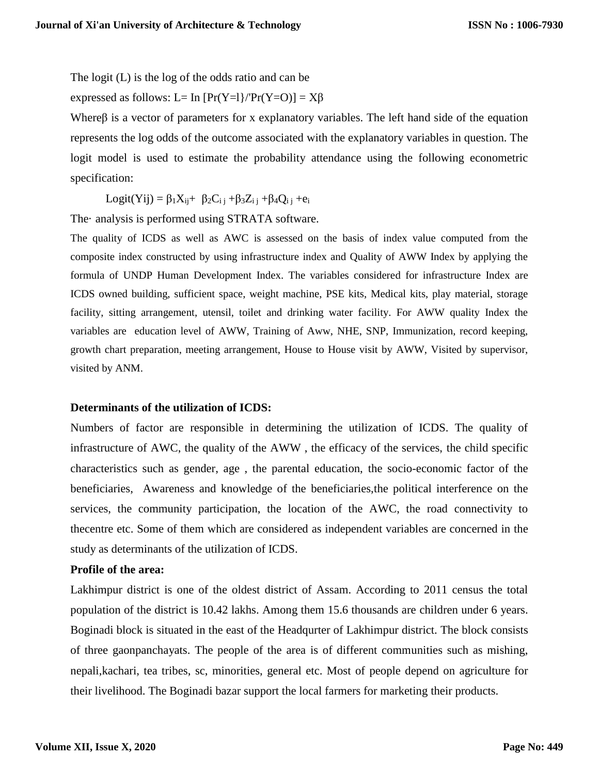The logit (L) is the log of the odds ratio and can be

expressed as follows: L= In  $[Pr(Y=1]/Pr(Y=0)] = X\beta$ 

Whereβ is a vector of parameters for x explanatory variables. The left hand side of the equation represents the log odds of the outcome associated with the explanatory variables in question. The logit model is used to estimate the probability attendance using the following econometric specification:

Logit(Yij) =  $\beta_1 X_{ii} + \beta_2 C_{i} + \beta_3 Z_{i} + \beta_4 Q_{i} + e_i$ 

The· analysis is performed using STRATA software.

The quality of ICDS as well as AWC is assessed on the basis of index value computed from the composite index constructed by using infrastructure index and Quality of AWW Index by applying the formula of UNDP Human Development Index. The variables considered for infrastructure Index are ICDS owned building, sufficient space, weight machine, PSE kits, Medical kits, play material, storage facility, sitting arrangement, utensil, toilet and drinking water facility. For AWW quality Index the variables are education level of AWW, Training of Aww, NHE, SNP, Immunization, record keeping, growth chart preparation, meeting arrangement, House to House visit by AWW, Visited by supervisor, visited by ANM.

#### **Determinants of the utilization of ICDS:**

Numbers of factor are responsible in determining the utilization of ICDS. The quality of infrastructure of AWC, the quality of the AWW , the efficacy of the services, the child specific characteristics such as gender, age , the parental education, the socio-economic factor of the beneficiaries, Awareness and knowledge of the beneficiaries,the political interference on the services, the community participation, the location of the AWC, the road connectivity to thecentre etc. Some of them which are considered as independent variables are concerned in the study as determinants of the utilization of ICDS.

# **Profile of the area:**

Lakhimpur district is one of the oldest district of Assam. According to 2011 census the total population of the district is 10.42 lakhs. Among them 15.6 thousands are children under 6 years. Boginadi block is situated in the east of the Headqurter of Lakhimpur district. The block consists of three gaonpanchayats. The people of the area is of different communities such as mishing, nepali,kachari, tea tribes, sc, minorities, general etc. Most of people depend on agriculture for their livelihood. The Boginadi bazar support the local farmers for marketing their products.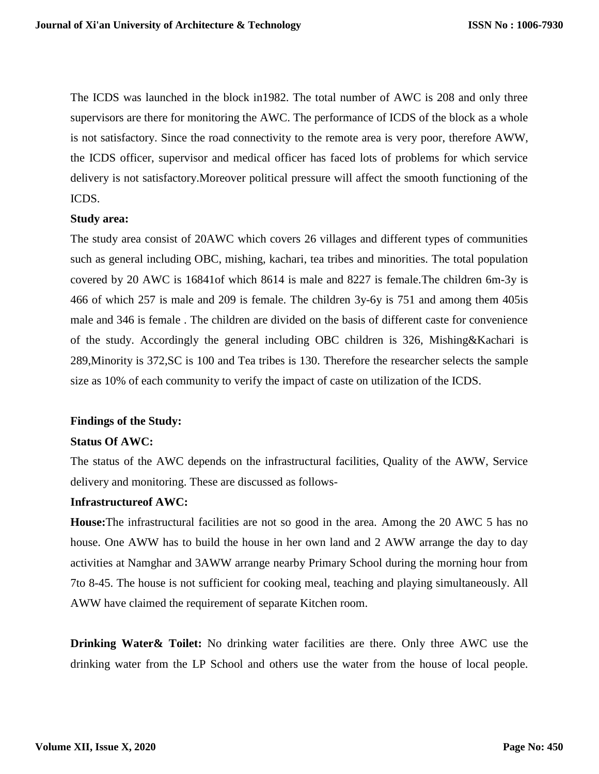The ICDS was launched in the block in1982. The total number of AWC is 208 and only three supervisors are there for monitoring the AWC. The performance of ICDS of the block as a whole is not satisfactory. Since the road connectivity to the remote area is very poor, therefore AWW, the ICDS officer, supervisor and medical officer has faced lots of problems for which service delivery is not satisfactory.Moreover political pressure will affect the smooth functioning of the ICDS.

## **Study area:**

The study area consist of 20AWC which covers 26 villages and different types of communities such as general including OBC, mishing, kachari, tea tribes and minorities. The total population covered by 20 AWC is 16841of which 8614 is male and 8227 is female.The children 6m-3y is 466 of which 257 is male and 209 is female. The children 3y-6y is 751 and among them 405is male and 346 is female . The children are divided on the basis of different caste for convenience of the study. Accordingly the general including OBC children is 326, Mishing&Kachari is 289,Minority is 372,SC is 100 and Tea tribes is 130. Therefore the researcher selects the sample size as 10% of each community to verify the impact of caste on utilization of the ICDS.

#### **Findings of the Study:**

#### **Status Of AWC:**

The status of the AWC depends on the infrastructural facilities, Quality of the AWW, Service delivery and monitoring. These are discussed as follows-

# **Infrastructureof AWC:**

**House:**The infrastructural facilities are not so good in the area. Among the 20 AWC 5 has no house. One AWW has to build the house in her own land and 2 AWW arrange the day to day activities at Namghar and 3AWW arrange nearby Primary School during the morning hour from 7to 8-45. The house is not sufficient for cooking meal, teaching and playing simultaneously. All AWW have claimed the requirement of separate Kitchen room.

**Drinking Water & Toilet:** No drinking water facilities are there. Only three AWC use the drinking water from the LP School and others use the water from the house of local people.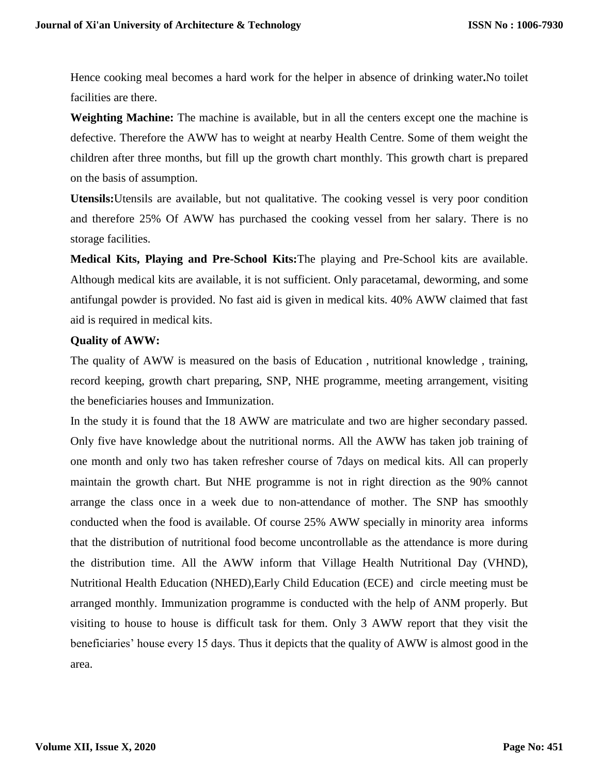Hence cooking meal becomes a hard work for the helper in absence of drinking water**.**No toilet facilities are there.

**Weighting Machine:** The machine is available, but in all the centers except one the machine is defective. Therefore the AWW has to weight at nearby Health Centre. Some of them weight the children after three months, but fill up the growth chart monthly. This growth chart is prepared on the basis of assumption.

**Utensils:**Utensils are available, but not qualitative. The cooking vessel is very poor condition and therefore 25% Of AWW has purchased the cooking vessel from her salary. There is no storage facilities.

**Medical Kits, Playing and Pre-School Kits:**The playing and Pre-School kits are available. Although medical kits are available, it is not sufficient. Only paracetamal, deworming, and some antifungal powder is provided. No fast aid is given in medical kits. 40% AWW claimed that fast aid is required in medical kits.

## **Quality of AWW:**

The quality of AWW is measured on the basis of Education , nutritional knowledge , training, record keeping, growth chart preparing, SNP, NHE programme, meeting arrangement, visiting the beneficiaries houses and Immunization.

In the study it is found that the 18 AWW are matriculate and two are higher secondary passed. Only five have knowledge about the nutritional norms. All the AWW has taken job training of one month and only two has taken refresher course of 7days on medical kits. All can properly maintain the growth chart. But NHE programme is not in right direction as the 90% cannot arrange the class once in a week due to non-attendance of mother. The SNP has smoothly conducted when the food is available. Of course 25% AWW specially in minority area informs that the distribution of nutritional food become uncontrollable as the attendance is more during the distribution time. All the AWW inform that Village Health Nutritional Day (VHND), Nutritional Health Education (NHED),Early Child Education (ECE) and circle meeting must be arranged monthly. Immunization programme is conducted with the help of ANM properly. But visiting to house to house is difficult task for them. Only 3 AWW report that they visit the beneficiaries' house every 15 days. Thus it depicts that the quality of AWW is almost good in the area.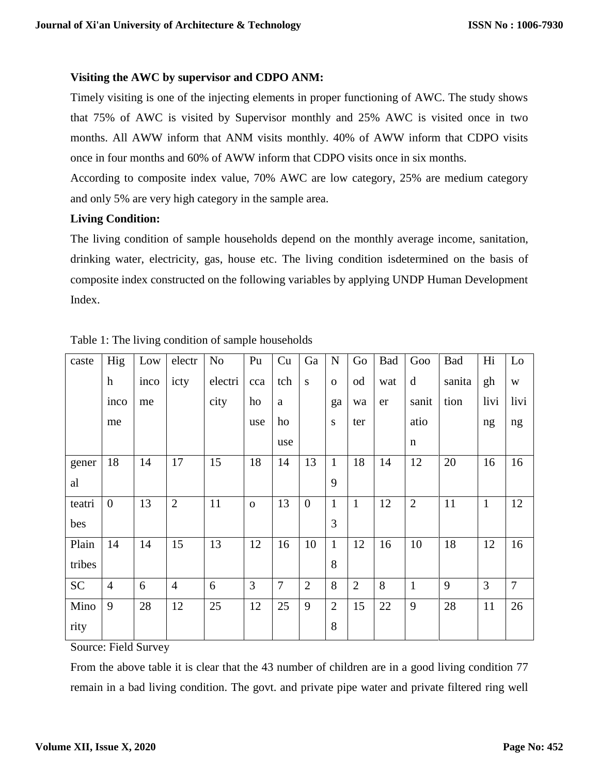## **Visiting the AWC by supervisor and CDPO ANM:**

Timely visiting is one of the injecting elements in proper functioning of AWC. The study shows that 75% of AWC is visited by Supervisor monthly and 25% AWC is visited once in two months. All AWW inform that ANM visits monthly. 40% of AWW inform that CDPO visits once in four months and 60% of AWW inform that CDPO visits once in six months.

According to composite index value, 70% AWC are low category, 25% are medium category and only 5% are very high category in the sample area.

## **Living Condition:**

The living condition of sample households depend on the monthly average income, sanitation, drinking water, electricity, gas, house etc. The living condition isdetermined on the basis of composite index constructed on the following variables by applying UNDP Human Development Index.

| caste     | Hig              | Low  | electr         | No      | Pu       | Cu       | Ga             | ${\bf N}$      | Go             | Bad | Goo            | Bad    | Hi           | Lo             |
|-----------|------------------|------|----------------|---------|----------|----------|----------------|----------------|----------------|-----|----------------|--------|--------------|----------------|
|           | $\boldsymbol{h}$ | inco | icty           | electri | cca      | tch      | S              | $\mathbf{O}$   | od             | wat | d              | sanita | gh           | W              |
|           | inco             | me   |                | city    | ho       | $\rm{a}$ |                | ga             | wa             | er  | sanit          | tion   | livi         | livi           |
|           | me               |      |                |         | use      | ho       |                | S              | ter            |     | atio           |        | ng           | ng             |
|           |                  |      |                |         |          | use      |                |                |                |     | n              |        |              |                |
| gener     | 18               | 14   | 17             | 15      | 18       | 14       | 13             | $\mathbf{1}$   | 18             | 14  | 12             | 20     | 16           | 16             |
| al        |                  |      |                |         |          |          |                | 9              |                |     |                |        |              |                |
| teatri    | $\overline{0}$   | 13   | $\overline{2}$ | 11      | $\Omega$ | 13       | $\overline{0}$ | $\mathbf{1}$   | $\mathbf{1}$   | 12  | $\overline{2}$ | 11     | $\mathbf{1}$ | 12             |
| bes       |                  |      |                |         |          |          |                | 3              |                |     |                |        |              |                |
| Plain     | 14               | 14   | 15             | 13      | 12       | 16       | 10             | $\mathbf{1}$   | 12             | 16  | 10             | 18     | 12           | 16             |
| tribes    |                  |      |                |         |          |          |                | 8              |                |     |                |        |              |                |
| <b>SC</b> | $\overline{4}$   | 6    | $\overline{4}$ | 6       | 3        | $\tau$   | $\overline{2}$ | 8              | $\overline{2}$ | 8   | $\mathbf{1}$   | 9      | 3            | $\overline{7}$ |
| Mino      | 9                | 28   | 12             | 25      | 12       | 25       | 9              | $\overline{2}$ | 15             | 22  | 9              | 28     | 11           | 26             |
| rity      |                  |      |                |         |          |          |                | 8              |                |     |                |        |              |                |

Table 1: The living condition of sample households

Source: Field Survey

From the above table it is clear that the 43 number of children are in a good living condition 77 remain in a bad living condition. The govt. and private pipe water and private filtered ring well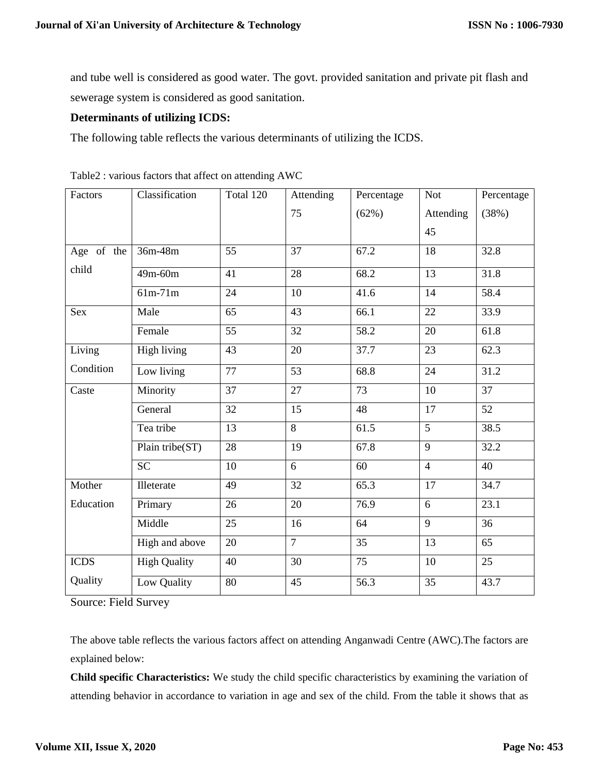and tube well is considered as good water. The govt. provided sanitation and private pit flash and sewerage system is considered as good sanitation.

## **Determinants of utilizing ICDS:**

The following table reflects the various determinants of utilizing the ICDS.

| Factors     | Classification      | Total 120       | Attending       | Percentage        | <b>Not</b>      | Percentage      |
|-------------|---------------------|-----------------|-----------------|-------------------|-----------------|-----------------|
|             |                     |                 | 75              | (62%)             | Attending       | (38%)           |
|             |                     |                 |                 |                   | 45              |                 |
| Age of the  | 36m-48m             | 55              | $\overline{37}$ | 67.2              | 18              | 32.8            |
| child       | $49m - 60m$         | 41              | $\overline{28}$ | 68.2              | $\overline{13}$ | 31.8            |
|             | $61m-71m$           | 24              | 10              | 41.6              | 14              | 58.4            |
| <b>Sex</b>  | Male                | $\overline{65}$ | 43              | 66.1              | 22              | 33.9            |
|             | Female              | 55              | 32              | $\overline{58.2}$ | 20              | 61.8            |
| Living      | <b>High living</b>  | $\overline{43}$ | $\overline{20}$ | 37.7              | $\overline{23}$ | 62.3            |
| Condition   | Low living          | 77              | 53              | 68.8              | 24              | 31.2            |
| Caste       | Minority            | 37              | 27              | 73                | 10              | 37              |
|             | General             | 32              | 15              | 48                | 17              | 52              |
|             | Tea tribe           | 13              | 8               | 61.5              | 5               | 38.5            |
|             | Plain tribe(ST)     | $\overline{28}$ | $\overline{19}$ | 67.8              | $\overline{9}$  | 32.2            |
|             | <b>SC</b>           | 10              | 6               | 60                | $\overline{4}$  | 40              |
| Mother      | Illeterate          | 49              | $\overline{32}$ | 65.3              | 17              | 34.7            |
| Education   | Primary             | 26              | 20              | 76.9              | 6               | 23.1            |
|             | Middle              | $\overline{25}$ | 16              | 64                | $\overline{9}$  | $\overline{36}$ |
|             | High and above      | 20              | $\overline{7}$  | 35                | 13              | 65              |
| <b>ICDS</b> | <b>High Quality</b> | 40              | 30              | 75                | 10              | 25              |
| Quality     | Low Quality         | 80              | 45              | 56.3              | 35              | 43.7            |

| Table2 : various factors that affect on attending AWC |  |  |  |  |  |
|-------------------------------------------------------|--|--|--|--|--|
|-------------------------------------------------------|--|--|--|--|--|

Source: Field Survey

The above table reflects the various factors affect on attending Anganwadi Centre (AWC).The factors are explained below:

**Child specific Characteristics:** We study the child specific characteristics by examining the variation of attending behavior in accordance to variation in age and sex of the child. From the table it shows that as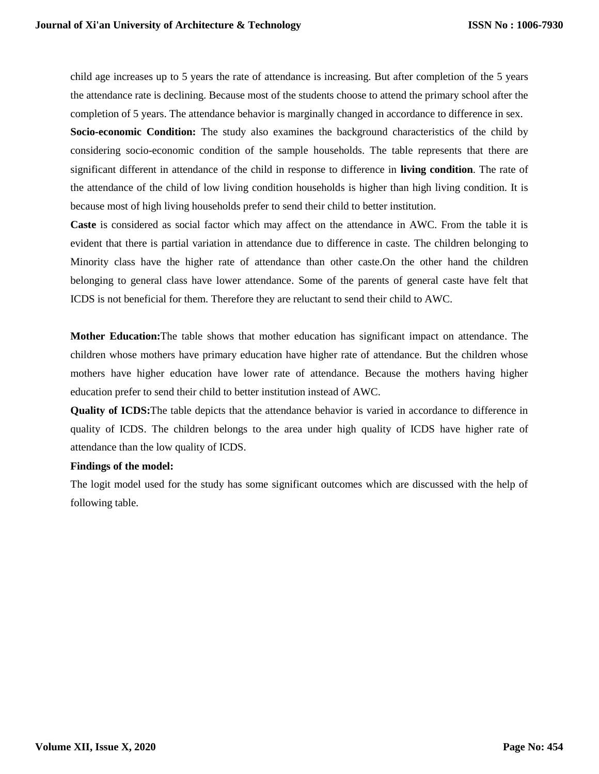child age increases up to 5 years the rate of attendance is increasing. But after completion of the 5 years the attendance rate is declining. Because most of the students choose to attend the primary school after the completion of 5 years. The attendance behavior is marginally changed in accordance to difference in sex.

**Socio-economic Condition:** The study also examines the background characteristics of the child by considering socio-economic condition of the sample households. The table represents that there are significant different in attendance of the child in response to difference in **living condition**. The rate of the attendance of the child of low living condition households is higher than high living condition. It is because most of high living households prefer to send their child to better institution.

**Caste** is considered as social factor which may affect on the attendance in AWC. From the table it is evident that there is partial variation in attendance due to difference in caste. The children belonging to Minority class have the higher rate of attendance than other caste.On the other hand the children belonging to general class have lower attendance. Some of the parents of general caste have felt that ICDS is not beneficial for them. Therefore they are reluctant to send their child to AWC.

**Mother Education:**The table shows that mother education has significant impact on attendance. The children whose mothers have primary education have higher rate of attendance. But the children whose mothers have higher education have lower rate of attendance. Because the mothers having higher education prefer to send their child to better institution instead of AWC.

**Quality of ICDS:**The table depicts that the attendance behavior is varied in accordance to difference in quality of ICDS. The children belongs to the area under high quality of ICDS have higher rate of attendance than the low quality of ICDS.

#### **Findings of the model:**

The logit model used for the study has some significant outcomes which are discussed with the help of following table.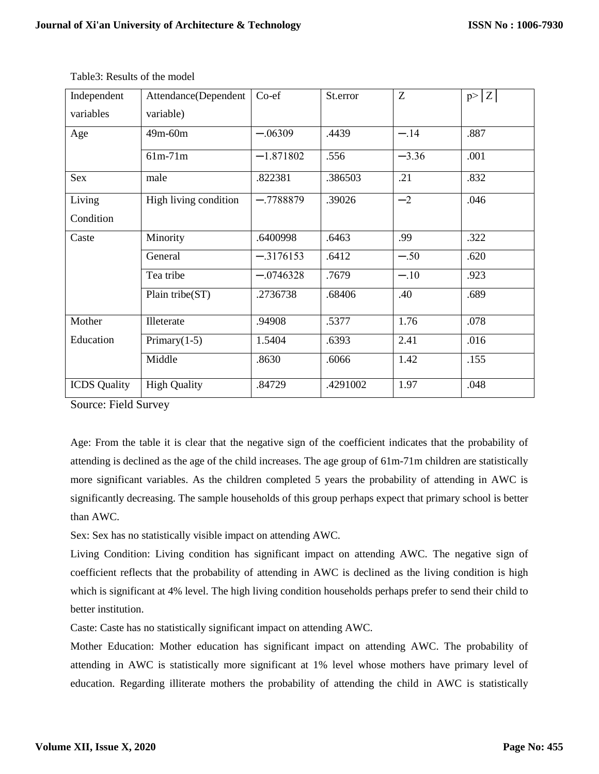| Independent         | Attendance(Dependent  | Co-ef       | St.error | Ζ       | p >  Z |
|---------------------|-----------------------|-------------|----------|---------|--------|
| variables           | variable)             |             |          |         |        |
| Age                 | 49m-60m               | $-.06309$   | .4439    | $-.14$  | .887   |
|                     | $61m-71m$             | $-1.871802$ | .556     | $-3.36$ | .001   |
| <b>Sex</b>          | male                  | .822381     | .386503  | .21     | .832   |
| Living              | High living condition | $-.7788879$ | .39026   | $-2$    | .046   |
| Condition           |                       |             |          |         |        |
| Caste               | Minority              | .6400998    | .6463    | .99     | .322   |
|                     | General               | $-.3176153$ | .6412    | $-.50$  | .620   |
|                     | Tea tribe             | $-.0746328$ | .7679    | $-.10$  | .923   |
|                     | Plain tribe(ST)       | .2736738    | .68406   | .40     | .689   |
| Mother              | Illeterate            | .94908      | .5377    | 1.76    | .078   |
| Education           | Primary $(1-5)$       | 1.5404      | .6393    | 2.41    | .016   |
|                     | Middle                | .8630       | .6066    | 1.42    | .155   |
| <b>ICDS</b> Quality | <b>High Quality</b>   | .84729      | .4291002 | 1.97    | .048   |

Table3: Results of the model

Source: Field Survey

Age: From the table it is clear that the negative sign of the coefficient indicates that the probability of attending is declined as the age of the child increases. The age group of 61m-71m children are statistically more significant variables. As the children completed 5 years the probability of attending in AWC is significantly decreasing. The sample households of this group perhaps expect that primary school is better than AWC.

Sex: Sex has no statistically visible impact on attending AWC.

Living Condition: Living condition has significant impact on attending AWC. The negative sign of coefficient reflects that the probability of attending in AWC is declined as the living condition is high which is significant at 4% level. The high living condition households perhaps prefer to send their child to better institution.

Caste: Caste has no statistically significant impact on attending AWC.

Mother Education: Mother education has significant impact on attending AWC. The probability of attending in AWC is statistically more significant at 1% level whose mothers have primary level of education. Regarding illiterate mothers the probability of attending the child in AWC is statistically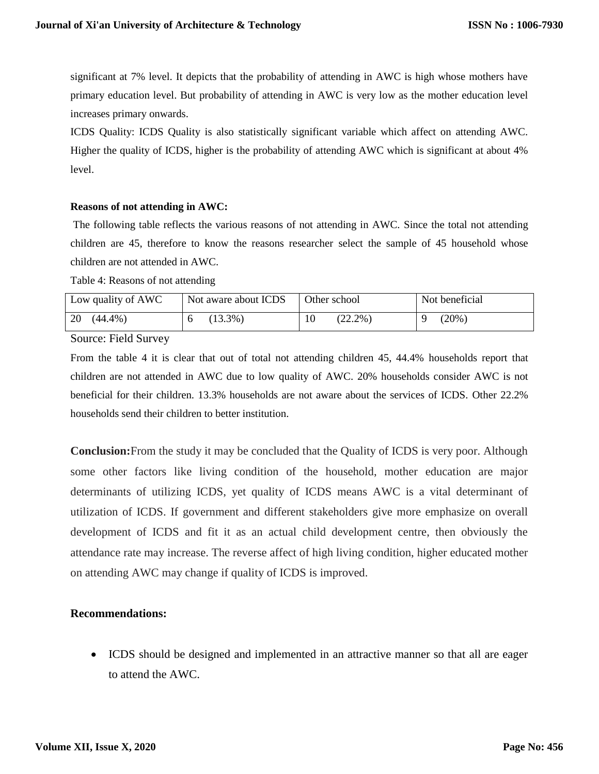significant at 7% level. It depicts that the probability of attending in AWC is high whose mothers have primary education level. But probability of attending in AWC is very low as the mother education level increases primary onwards.

ICDS Quality: ICDS Quality is also statistically significant variable which affect on attending AWC. Higher the quality of ICDS, higher is the probability of attending AWC which is significant at about 4% level.

#### **Reasons of not attending in AWC:**

The following table reflects the various reasons of not attending in AWC. Since the total not attending children are 45, therefore to know the reasons researcher select the sample of 45 household whose children are not attended in AWC.

Table 4: Reasons of not attending

| Low quality of AWC | Not aware about ICDS | Other school | Not beneficial |
|--------------------|----------------------|--------------|----------------|
| 20<br>$(44.4\%)$   | $13.3\%$ )           | $(22.2\%)$   | $(20\%)$       |

Source: Field Survey

From the table 4 it is clear that out of total not attending children 45, 44.4% households report that children are not attended in AWC due to low quality of AWC. 20% households consider AWC is not beneficial for their children. 13.3% households are not aware about the services of ICDS. Other 22.2% households send their children to better institution.

**Conclusion:**From the study it may be concluded that the Quality of ICDS is very poor. Although some other factors like living condition of the household, mother education are major determinants of utilizing ICDS, yet quality of ICDS means AWC is a vital determinant of utilization of ICDS. If government and different stakeholders give more emphasize on overall development of ICDS and fit it as an actual child development centre, then obviously the attendance rate may increase. The reverse affect of high living condition, higher educated mother on attending AWC may change if quality of ICDS is improved.

## **Recommendations:**

• ICDS should be designed and implemented in an attractive manner so that all are eager to attend the AWC.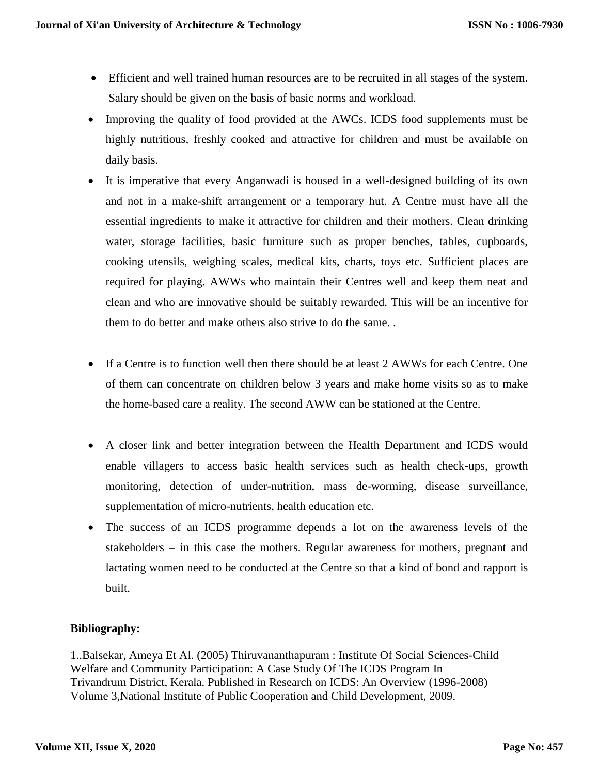- Efficient and well trained human resources are to be recruited in all stages of the system. Salary should be given on the basis of basic norms and workload.
- Improving the quality of food provided at the AWCs. ICDS food supplements must be highly nutritious, freshly cooked and attractive for children and must be available on daily basis.
- It is imperative that every Anganwadi is housed in a well-designed building of its own and not in a make-shift arrangement or a temporary hut. A Centre must have all the essential ingredients to make it attractive for children and their mothers. Clean drinking water, storage facilities, basic furniture such as proper benches, tables, cupboards, cooking utensils, weighing scales, medical kits, charts, toys etc. Sufficient places are required for playing. AWWs who maintain their Centres well and keep them neat and clean and who are innovative should be suitably rewarded. This will be an incentive for them to do better and make others also strive to do the same. .
- If a Centre is to function well then there should be at least 2 AWWs for each Centre. One of them can concentrate on children below 3 years and make home visits so as to make the home-based care a reality. The second AWW can be stationed at the Centre.
- A closer link and better integration between the Health Department and ICDS would enable villagers to access basic health services such as health check-ups, growth monitoring, detection of under-nutrition, mass de-worming, disease surveillance, supplementation of micro-nutrients, health education etc.
- The success of an ICDS programme depends a lot on the awareness levels of the stakeholders – in this case the mothers. Regular awareness for mothers, pregnant and lactating women need to be conducted at the Centre so that a kind of bond and rapport is built.

## **Bibliography:**

1..Balsekar, Ameya Et Al. (2005) Thiruvananthapuram : Institute Of Social Sciences-Child Welfare and Community Participation: A Case Study Of The ICDS Program In Trivandrum District, Kerala. Published in Research on ICDS: An Overview (1996-2008) Volume 3,National Institute of Public Cooperation and Child Development, 2009.